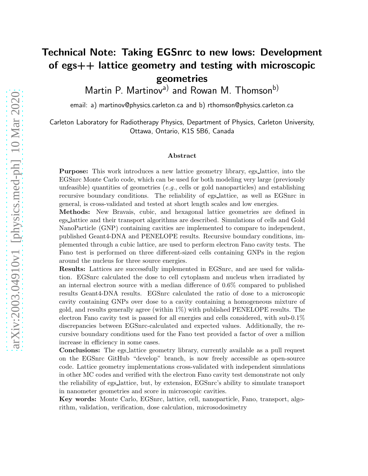# Technical Note: Taking EGSnrc to new lows: Development of egs++ lattice geometry and testing with microscopic geometries

Martin P. Martinov<sup>a)</sup> and Rowan M. Thomson<sup>b)</sup>

email: a) martinov@physics.carleton.ca and b) rthomson@physics.carleton.ca

Carleton Laboratory for Radiotherapy Physics, Department of Physics, Carleton University, Ottawa, Ontario, K1S 5B6, Canada

#### Abstract

Purpose: This work introduces a new lattice geometry library, egs lattice, into the EGSnrc Monte Carlo code, which can be used for both modeling very large (previously unfeasible) quantities of geometries  $(e.g.,$  cells or gold nanoparticles) and establishing recursive boundary conditions. The reliability of egs lattice, as well as EGSnrc in general, is cross-validated and tested at short length scales and low energies.

Methods: New Bravais, cubic, and hexagonal lattice geometries are defined in egs lattice and their transport algorithms are described. Simulations of cells and Gold NanoParticle (GNP) containing cavities are implemented to compare to independent, published Geant4-DNA and PENELOPE results. Recursive boundary conditions, implemented through a cubic lattice, are used to perform electron Fano cavity tests. The Fano test is performed on three different-sized cells containing GNPs in the region around the nucleus for three source energies.

Results: Lattices are successfully implemented in EGSnrc, and are used for validation. EGSnrc calculated the dose to cell cytoplasm and nucleus when irradiated by an internal electron source with a median difference of 0.6% compared to published results Geant4-DNA results. EGSnrc calculated the ratio of dose to a microscopic cavity containing GNPs over dose to a cavity containing a homogeneous mixture of gold, and results generally agree (within 1%) with published PENELOPE results. The electron Fano cavity test is passed for all energies and cells considered, with sub-0.1% discrepancies between EGSnrc-calculated and expected values. Additionally, the recursive boundary conditions used for the Fano test provided a factor of over a million increase in efficiency in some cases.

Conclusions: The egs lattice geometry library, currently available as a pull request on the EGSnrc GitHub "develop" branch, is now freely accessible as open-source code. Lattice geometry implementations cross-validated with independent simulations in other MC codes and verified with the electron Fano cavity test demonstrate not only the reliability of egs lattice, but, by extension, EGSnrc's ability to simulate transport in nanometer geometries and score in microscopic cavities.

Key words: Monte Carlo, EGSnrc, lattice, cell, nanoparticle, Fano, transport, algorithm, validation, verification, dose calculation, microsodosimetry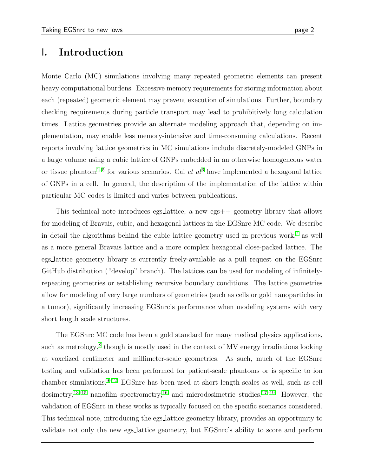# I. Introduction

Monte Carlo (MC) simulations involving many repeated geometric elements can present heavy computational burdens. Excessive memory requirements for storing information about each (repeated) geometric element may prevent execution of simulations. Further, boundary checking requirements during particle transport may lead to prohibitively long calculation times. Lattice geometries provide an alternate modeling approach that, depending on implementation, may enable less memory-intensive and time-consuming calculations. Recent reports involving lattice geometrics in MC simulations include discretely-modeled GNPs in a large volume using a cubic lattice of GNPs embedded in an otherwise homogeneous water or tissue phantom<sup>[1](#page-17-0)[–5](#page-18-0)</sup> for various scenarios. Cai *et al*<sup>[6](#page-18-1)</sup> have implemented a hexagonal lattice of GNPs in a cell. In general, the description of the implementation of the lattice within particular MC codes is limited and varies between publications.

This technical note introduces egs lattice, a new egs  $++$  geometry library that allows for modeling of Bravais, cubic, and hexagonal lattices in the EGSnrc MC code. We describe in detail the algorithms behind the cubic lattice geometry used in previous work,<sup>[7](#page-18-2)</sup> as well as a more general Bravais lattice and a more complex hexagonal close-packed lattice. The egs lattice geometry library is currently freely-available as a pull request on the EGSnrc GitHub distribution ("develop" branch). The lattices can be used for modeling of infinitelyrepeating geometries or establishing recursive boundary conditions. The lattice geometries allow for modeling of very large numbers of geometries (such as cells or gold nanoparticles in a tumor), significantly increasing EGSnrc's performance when modeling systems with very short length scale structures.

The EGSnrc MC code has been a gold standard for many medical physics applications, such as metrology,<sup>[8](#page-18-3)</sup> though is mostly used in the context of MV energy irradiations looking at voxelized centimeter and millimeter-scale geometries. As such, much of the EGSnrc testing and validation has been performed for patient-scale phantoms or is specific to ion chamber simulations.<sup>[9](#page-18-4)[–12](#page-18-5)</sup> EGSnrc has been used at short length scales as well, such as cell dosimetry,<sup>[13](#page-18-6)[–15](#page-19-0)</sup> nanofilm spectrometry,<sup>[16](#page-19-1)</sup> and microdosimetric studies.<sup>[17](#page-19-2)[–19](#page-19-3)</sup> However, the validation of EGSnrc in these works is typically focused on the specific scenarios considered. This technical note, introducing the egs lattice geometry library, provides an opportunity to validate not only the new egs lattice geometry, but EGSnrc's ability to score and perform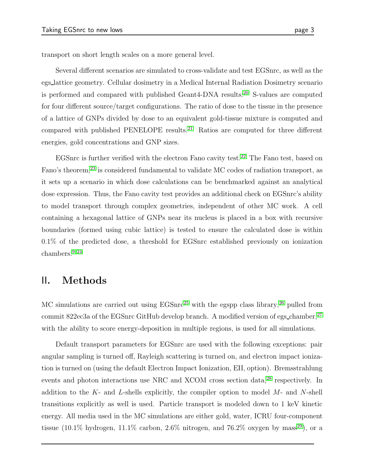transport on short length scales on a more general level.

Several different scenarios are simulated to cross-validate and test EGSnrc, as well as the egs lattice geometry. Cellular dosimetry in a Medical Internal Radiation Dosimetry scenario is performed and compared with published Geant4-DNA results:<sup>[20](#page-19-4)</sup> S-values are computed for four different source/target configurations. The ratio of dose to the tissue in the presence of a lattice of GNPs divided by dose to an equivalent gold-tissue mixture is computed and compared with published PENELOPE results.<sup>[21](#page-19-5)</sup> Ratios are computed for three different energies, gold concentrations and GNP sizes.

EGSnrc is further verified with the electron Fano cavity test.[22](#page-19-6) The Fano test, based on Fano's theorem,<sup>[23](#page-19-7)</sup> is considered fundamental to validate MC codes of radiation transport, as it sets up a scenario in which dose calculations can be benchmarked against an analytical dose expression. Thus, the Fano cavity test provides an additional check on EGSnrc's ability to model transport through complex geometries, independent of other MC work. A cell containing a hexagonal lattice of GNPs near its nucleus is placed in a box with recursive boundaries (formed using cubic lattice) is tested to ensure the calculated dose is within 0.1% of the predicted dose, a threshold for EGSnrc established previously on ionization chambers.[9,](#page-18-4) [24](#page-19-8)

# II. Methods

MC simulations are carried out using  $EGSnc^{25}$  $EGSnc^{25}$  $EGSnc^{25}$  with the egspp class library,<sup>[26](#page-20-0)</sup> pulled from commit 822ec3a of the EGSnrc GitHub develop branch. A modified version of egs\_chamber,<sup>[27](#page-20-1)</sup> with the ability to score energy-deposition in multiple regions, is used for all simulations.

Default transport parameters for EGSnrc are used with the following exceptions: pair angular sampling is turned off, Rayleigh scattering is turned on, and electron impact ionization is turned on (using the default Electron Impact Ionization, EII, option). Bremsstrahlung events and photon interactions use NRC and XCOM cross section data,<sup>[28](#page-20-2)</sup> respectively. In addition to the  $K$ - and  $L$ -shells explicitly, the compiler option to model  $M$ - and  $N$ -shell transitions explicitly as well is used. Particle transport is modeled down to 1 keV kinetic energy. All media used in the MC simulations are either gold, water, ICRU four-component tissue (10.1% hydrogen, 11.1% carbon, 2.6% nitrogen, and 76.2% oxygen by mass<sup>[29](#page-20-3)</sup>), or a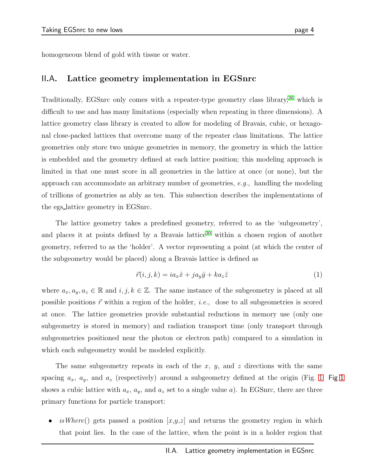homogeneous blend of gold with tissue or water.

### II.A. Lattice geometry implementation in EGSnrc

Traditionally, EGSnrc only comes with a repeater-type geometry class library,<sup>[26](#page-20-0)</sup> which is difficult to use and has many limitations (especially when repeating in three dimensions). A lattice geometry class library is created to allow for modeling of Bravais, cubic, or hexagonal close-packed lattices that overcome many of the repeater class limitations. The lattice geometries only store two unique geometries in memory, the geometry in which the lattice is embedded and the geometry defined at each lattice position; this modeling approach is limited in that one must score in all geometries in the lattice at once (or none), but the approach can accommodate an arbitrary number of geometries, e.g., handling the modeling of trillions of geometries as ably as ten. This subsection describes the implementations of the egs lattice geometry in EGSnrc.

The lattice geometry takes a predefined geometry, referred to as the 'subgeometry', and places it at points defined by a Bravais lattice<sup>[30](#page-20-4)</sup> within a chosen region of another geometry, referred to as the 'holder'. A vector representing a point (at which the center of the subgeometry would be placed) along a Bravais lattice is defined as

$$
\vec{r}(i,j,k) = ia_x \hat{x} + ja_y \hat{y} + ka_z \hat{z}
$$
\n(1)

where  $a_x, a_y, a_z \in \mathbb{R}$  and  $i, j, k \in \mathbb{Z}$ . The same instance of the subgeometry is placed at all possible positions  $\vec{r}$  within a region of the holder, *i.e.*, dose to all subgeometries is scored at once. The lattice geometries provide substantial reductions in memory use (only one subgeometry is stored in memory) and radiation transport time (only transport through subgeometries positioned near the photon or electron path) compared to a simulation in which each subgeometry would be modeled explicitly.

The same subgeometry repeats in each of the  $x, y$ , and  $z$  directions with the same spacing  $a_x$ ,  $a_y$ , and  $a_z$  (respectively) around a subgeometry defined at the origin (Fig. [1](#page-5-0) Fig 1 shows a cubic lattice with  $a_x$ ,  $a_y$ , and  $a_z$  set to a single value a). In EGSnrc, there are three primary functions for particle transport:

is Where() gets passed a position  $[x,y,z]$  and returns the geometry region in which that point lies. In the case of the lattice, when the point is in a holder region that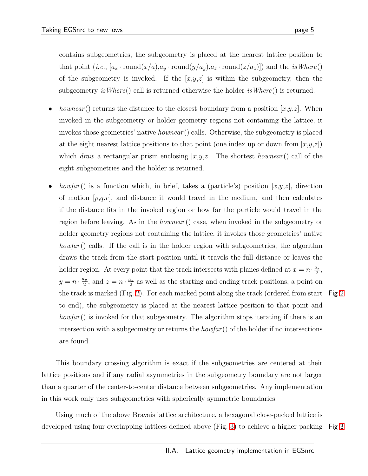contains subgeometries, the subgeometry is placed at the nearest lattice position to that point (*i.e.*,  $[a_x \cdot \text{round}(x/a), a_y \cdot \text{round}(y/a_y), a_z \cdot \text{round}(z/a_z)]$ ) and the *isWhere*() of the subgeometry is invoked. If the  $[x,y,z]$  is within the subgeometry, then the subgeometry is Where() call is returned otherwise the holder is Where() is returned.

- *hownear*() returns the distance to the closest boundary from a position  $[x,y,z]$ . When invoked in the subgeometry or holder geometry regions not containing the lattice, it invokes those geometries' native *hownear* () calls. Otherwise, the subgeometry is placed at the eight nearest lattice positions to that point (one index up or down from  $|x,y,z|$ ) which draw a rectangular prism enclosing  $[x,y,z]$ . The shortest hownear() call of the eight subgeometries and the holder is returned.
- *howfar*() is a function which, in brief, takes a (particle's) position  $[x,y,z]$ , direction of motion  $[p,q,r]$ , and distance it would travel in the medium, and then calculates if the distance fits in the invoked region or how far the particle would travel in the region before leaving. As in the *hownear* () case, when invoked in the subgeometry or holder geometry regions not containing the lattice, it invokes those geometries' native *howfar*() calls. If the call is in the holder region with subgeometries, the algorithm draws the track from the start position until it travels the full distance or leaves the holder region. At every point that the track intersects with planes defined at  $x = n \cdot \frac{a_x}{2}$ ,  $y=n\cdot\frac{a_y}{2}$  $\frac{a_{2}}{2}$ , and  $z = n \cdot \frac{a_{z}}{2}$  as well as the starting and ending track positions, a point on the track is marked (Fig. [2\)](#page-5-1). For each marked point along the track (ordered from start Fig [2](#page-5-1) to end), the subgeometry is placed at the nearest lattice position to that point and howfar() is invoked for that subgeometry. The algorithm stops iterating if there is an intersection with a subgeometry or returns the  $howfar()$  of the holder if no intersections are found.

This boundary crossing algorithm is exact if the subgeometries are centered at their lattice positions and if any radial asymmetries in the subgeometry boundary are not larger than a quarter of the center-to-center distance between subgeometries. Any implementation in this work only uses subgeometries with spherically symmetric boundaries.

Using much of the above Bravais lattice architecture, a hexagonal close-packed lattice is developed using four overlapping lattices defined above (Fig. [3\)](#page-6-0) to achieve a higher packing Fig [3](#page-6-0)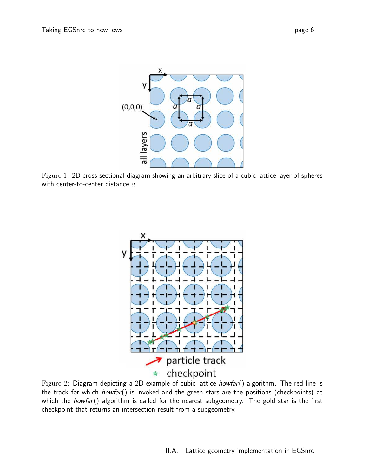<span id="page-5-0"></span>

<span id="page-5-1"></span>Figure 1: 2D cross-sectional diagram showing an arbitrary slice of a cubic lattice layer of spheres with center-to-center distance a.



Figure 2: Diagram depicting a 2D example of cubic lattice howfar() algorithm. The red line is the track for which *howfar*() is invoked and the green stars are the positions (checkpoints) at which the *howfar*() algorithm is called for the nearest subgeometry. The gold star is the first checkpoint that returns an intersection result from a subgeometry.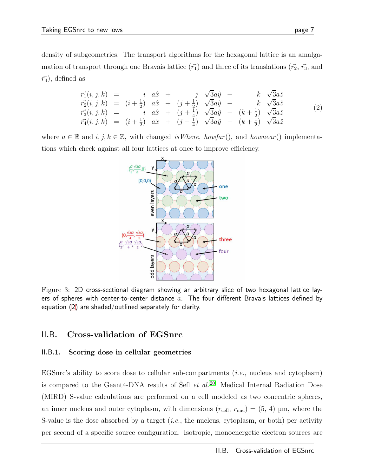density of subgeometries. The transport algorithms for the hexagonal lattice is an amalgamation of transport through one Bravais lattice  $(\vec{r_1})$  and three of its translations  $(\vec{r_2}, \vec{r_3})$ , and  $\vec{r_4}$ , defined as

<span id="page-6-1"></span>
$$
\begin{array}{rcl}\n\vec{r_1}(i,j,k) & = & i & a\hat{x} + j & \sqrt{3}a\hat{y} + k & \sqrt{3}a\hat{z} \\
\vec{r_2}(i,j,k) & = & (i+\frac{1}{2}) & a\hat{x} + (j+\frac{1}{2}) & \sqrt{3}a\hat{y} + k & \sqrt{3}a\hat{z} \\
\vec{r_3}(i,j,k) & = & i & a\hat{x} + (j+\frac{1}{4}) & \sqrt{3}a\hat{y} + (k+\frac{1}{2}) & \sqrt{3}a\hat{z} \\
\vec{r_4}(i,j,k) & = & (i+\frac{1}{2}) & a\hat{x} + (j-\frac{1}{4}) & \sqrt{3}a\hat{y} + (k+\frac{1}{2}) & \sqrt{3}a\hat{z}\n\end{array}\n\tag{2}
$$

<span id="page-6-0"></span>where  $a \in \mathbb{R}$  and  $i, j, k \in \mathbb{Z}$ , with changed is Where, howfar(), and hownear() implementations which check against all four lattices at once to improve efficiency.



Figure 3: 2D cross-sectional diagram showing an arbitrary slice of two hexagonal lattice layers of spheres with center-to-center distance  $a$ . The four different Bravais lattices defined by equation [\(2\)](#page-6-1) are shaded/outlined separately for clarity.

### II.B. Cross-validation of EGSnrc

### II.B.1. Scoring dose in cellular geometries

EGSnrc's ability to score dose to cellular sub-compartments  $(i.e.,$  nucleus and cytoplasm) is compared to the Geant4-DNA results of Šefl  $et$   $al.^{20}$  $al.^{20}$  $al.^{20}$  Medical Internal Radiation Dose (MIRD) S-value calculations are performed on a cell modeled as two concentric spheres, an inner nucleus and outer cytoplasm, with dimensions  $(r_{cell}, r_{nuc}) = (5, 4)$  µm, where the S-value is the dose absorbed by a target  $(i.e.,$  the nucleus, cytoplasm, or both) per activity per second of a specific source configuration. Isotropic, monoenergetic electron sources are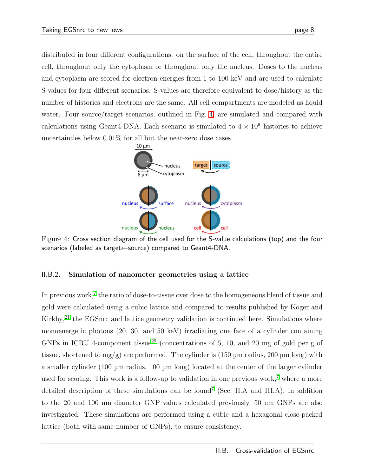<span id="page-7-0"></span>distributed in four different configurations: on the surface of the cell, throughout the entire cell, throughout only the cytoplasm or throughout only the nucleus. Doses to the nucleus and cytoplasm are scored for electron energies from 1 to 100 keV and are used to calculate S-values for four different scenarios. S-values are therefore equivalent to dose/history as the number of histories and electrons are the same. All cell compartments are modeled as liquid water. Four source/target scenarios, outlined in Fig. [4,](#page-7-0) are simulated and compared with calculations using Geant4-DNA. Each scenario is simulated to  $4 \times 10^9$  histories to achieve uncertainties below 0.01% for all but the near-zero dose cases.



Figure 4: Cross section diagram of the cell used for the S-value calculations (top) and the four scenarios (labeled as target←source) compared to Geant4-DNA.

### II.B.2. Simulation of nanometer geometries using a lattice

In previous work,<sup>[7](#page-18-2)</sup> the ratio of dose-to-tissue over dose to the homogeneous blend of tissue and gold were calculated using a cubic lattice and compared to results published by Koger and Kirkby, $21$  the EGSnrc and lattice geometry validation is continued here. Simulations where monoenergetic photons (20, 30, and 50 keV) irradiating one face of a cylinder containing GNPs in ICRU 4-component tissue<sup>[29](#page-20-3)</sup> (concentrations of 5, 10, and 20 mg of gold per g of tissue, shortened to  $mg/g$ ) are performed. The cylinder is (150 µm radius, 200 µm long) with a smaller cylinder (100 µm radius, 100 µm long) located at the center of the larger cylinder used for scoring. This work is a follow-up to validation in one previous work,<sup>[7](#page-18-2)</sup> where a more detailed description of these simulations can be found<sup>[7](#page-18-2)</sup> (Sec. II.A and III.A). In addition to the 20 and 100 nm diameter GNP values calculated previously, 50 nm GNPs are also investigated. These simulations are performed using a cubic and a hexagonal close-packed lattice (both with same number of GNPs), to ensure consistency.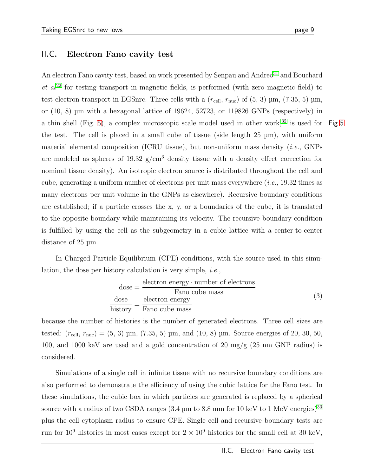### <span id="page-8-1"></span>II.C. Electron Fano cavity test

An electron Fano cavity test, based on work presented by Senpau and Andreo<sup>[31](#page-20-5)</sup> and Bouchard  $et\ al^{22}$  $et\ al^{22}$  $et\ al^{22}$  for testing transport in magnetic fields, is performed (with zero magnetic field) to test electron transport in EGSnrc. Three cells with a  $(r_{cell}, r_{nuc})$  of  $(5, 3)$   $\mu$ m,  $(7.35, 5)$   $\mu$ m, or (10, 8) µm with a hexagonal lattice of 19624, 52723, or 119826 GNPs (respectively) in a thin shell (Fig. [5\)](#page-9-0), a complex microscopic scale model used in other work,<sup>[32](#page-20-6)</sup> is used for Fig [5](#page-9-0) the test. The cell is placed in a small cube of tissue (side length 25 µm), with uniform material elemental composition (ICRU tissue), but non-uniform mass density (*i.e.*, GNPs are modeled as spheres of 19.32  $g/cm<sup>3</sup>$  density tissue with a density effect correction for nominal tissue density). An isotropic electron source is distributed throughout the cell and cube, generating a uniform number of electrons per unit mass everywhere  $(i.e., 19.32$  times as many electrons per unit volume in the GNPs as elsewhere). Recursive boundary conditions are established; if a particle crosses the x, y, or z boundaries of the cube, it is translated to the opposite boundary while maintaining its velocity. The recursive boundary condition is fulfilled by using the cell as the subgeometry in a cubic lattice with a center-to-center distance of 25 µm.

In Charged Particle Equilibrium (CPE) conditions, with the source used in this simulation, the dose per history calculation is very simple, *i.e.*,

<span id="page-8-0"></span>
$$
dose = \frac{electron\ energy \cdot number\ of\ electrons}{Fano\ cube\ mass}
$$
  

$$
\frac{dose}{history} = \frac{electron\ energy}{Fano\ cube\ mass}
$$
 (3)

because the number of histories is the number of generated electrons. Three cell sizes are tested:  $(r_{cell}, r_{nuc}) = (5, 3)$  µm,  $(7.35, 5)$  µm, and  $(10, 8)$  µm. Source energies of 20, 30, 50, 100, and 1000 keV are used and a gold concentration of 20 mg/g (25 nm GNP radius) is considered.

Simulations of a single cell in infinite tissue with no recursive boundary conditions are also performed to demonstrate the efficiency of using the cubic lattice for the Fano test. In these simulations, the cubic box in which particles are generated is replaced by a spherical source with a radius of two CSDA ranges  $(3.4 \mu m)$  to  $8.8 \mu m$  for 10 keV to 1 MeV energies)<sup>[33](#page-20-7)</sup> plus the cell cytoplasm radius to ensure CPE. Single cell and recursive boundary tests are run for  $10^9$  histories in most cases except for  $2 \times 10^9$  histories for the small cell at 30 keV,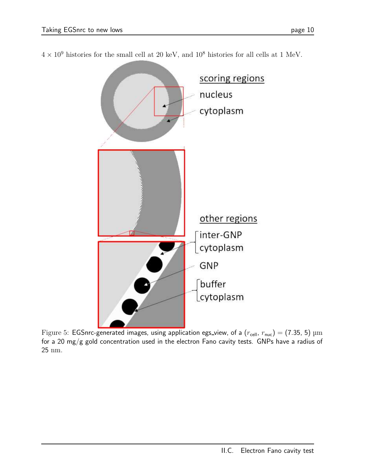

<span id="page-9-0"></span> $4\times10^9$  histories for the small cell at 20 keV, and  $10^8$  histories for all cells at 1 MeV.

Figure 5: EGSnrc-generated images, using application egs\_view, of a  $(r_{cell}, r_{nuc}) = (7.35, 5) \text{ µm}$ for a 20 mg/g gold concentration used in the electron Fano cavity tests. GNPs have a radius of 25 nm.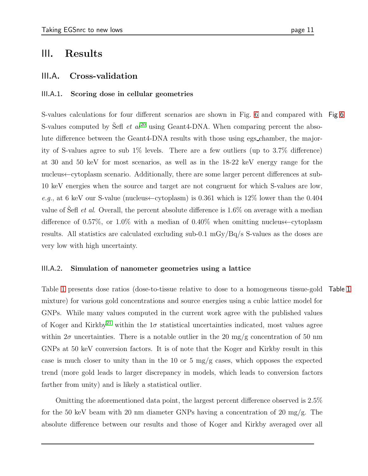### III. Results

### III.A. Cross-validation

### III.A.1. Scoring dose in cellular geometries

S-values calculations for four different scenarios are shown in Fig. [6](#page-11-0) and compared with Fig [6](#page-11-0) S-values computed by Sefl *et al*<sup>[20](#page-19-4)</sup> using Geant4-DNA. When comparing percent the absolute difference between the Geant4-DNA results with those using egs chamber, the majority of S-values agree to sub 1% levels. There are a few outliers (up to 3.7% difference) at 30 and 50 keV for most scenarios, as well as in the 18-22 keV energy range for the nucleus←cytoplasm scenario. Additionally, there are some larger percent differences at sub-10 keV energies when the source and target are not congruent for which S-values are low, e.g., at 6 keV our S-value (nucleus  $\leftarrow$  cytoplasm) is 0.361 which is 12% lower than the 0.404 value of Sefl *et al.* Overall, the percent absolute difference is  $1.6\%$  on average with a median difference of 0.57%, or 1.0% with a median of 0.40% when omitting nucleus←cytoplasm results. All statistics are calculated excluding sub-0.1 mGy/Bq/s S-values as the doses are very low with high uncertainty.

#### III.A.2. Simulation of nanometer geometries using a lattice

Table [1](#page-12-0) presents dose ratios (dose-to-tissue relative to dose to a homogeneous tissue-gold Table [1](#page-12-0) mixture) for various gold concentrations and source energies using a cubic lattice model for GNPs. While many values computed in the current work agree with the published values of Koger and Kirkby<sup>[21](#page-19-5)</sup> within the  $1\sigma$  statistical uncertainties indicated, most values agree within  $2\sigma$  uncertainties. There is a notable outlier in the 20 mg/g concentration of 50 nm GNPs at 50 keV conversion factors. It is of note that the Koger and Kirkby result in this case is much closer to unity than in the 10 or 5  $mg/g$  cases, which opposes the expected trend (more gold leads to larger discrepancy in models, which leads to conversion factors farther from unity) and is likely a statistical outlier.

Omitting the aforementioned data point, the largest percent difference observed is 2.5% for the 50 keV beam with 20 nm diameter GNPs having a concentration of 20 mg/g. The absolute difference between our results and those of Koger and Kirkby averaged over all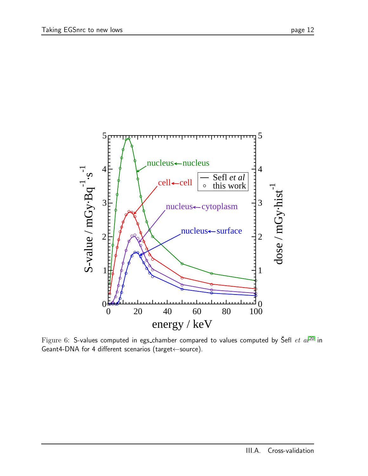<span id="page-11-0"></span>

Figure 6: S-values computed in egs\_chamber compared to values computed by Sefl  $et$   $al^{20}$  $al^{20}$  $al^{20}$  in Geant4-DNA for 4 different scenarios (target←source).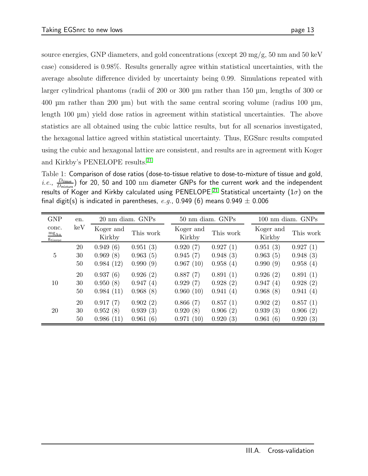source energies, GNP diameters, and gold concentrations (except 20 mg/g, 50 nm and 50 keV case) considered is 0.98%. Results generally agree within statistical uncertainties, with the average absolute difference divided by uncertainty being 0.99. Simulations repeated with larger cylindrical phantoms (radii of 200 or 300 µm rather than 150 µm, lengths of 300 or 400 µm rather than 200 µm) but with the same central scoring volume (radius 100 µm, length 100 µm) yield dose ratios in agreement within statistical uncertainties. The above statistics are all obtained using the cubic lattice results, but for all scenarios investigated, the hexagonal lattice agreed within statistical uncertainty. Thus, EGSnrc results computed using the cubic and hexagonal lattice are consistent, and results are in agreement with Koger and Kirkby's PENELOPE results.<sup>[21](#page-19-5)</sup>

<span id="page-12-0"></span>Table 1: Comparison of dose ratios (dose-to-tissue relative to dose-to-mixture of tissue and gold,  $i.e., \frac{D_{\text{tissue}}}{D_{\text{tissue}}}$  $\frac{D_{\rm tissue}}{D_{\rm mixture}})$  for 20, 50 and 100  $\rm nm$  diameter GNPs for the current work and the independent results of Koger and Kirkby calculated using PENELOPE.<sup>[21](#page-19-5)</sup> Statistical uncertainty (1 $\sigma$ ) on the final digit(s) is indicated in parentheses, e.g., 0.949 (6) means 0.949  $\pm$  0.006

| <b>GNP</b>                                         | en. | 20 nm diam. GNPs    |           | 50 nm diam. GNPs    |           |                     | 100 nm diam. GNPs |  |
|----------------------------------------------------|-----|---------------------|-----------|---------------------|-----------|---------------------|-------------------|--|
| conc.<br>$mg_{Au}$<br><i><u><b>Stissue</b></u></i> | keV | Koger and<br>Kirkby | This work | Koger and<br>Kirkby | This work | Koger and<br>Kirkby | This work         |  |
| 5                                                  | 20  | 0.949(6)            | 0.951(3)  | 0.920(7)            | 0.927(1)  | 0.951(3)            | 0.927(1)          |  |
|                                                    | 30  | 0.969(8)            | 0.963(5)  | 0.945(7)            | 0.948(3)  | 0.963(5)            | 0.948(3)          |  |
|                                                    | 50  | 0.984(12)           | 0.990(9)  | 0.967(10)           | 0.958(4)  | 0.990(9)            | 0.958(4)          |  |
| 10                                                 | 20  | 0.937(6)            | 0.926(2)  | 0.887(7)            | 0.891(1)  | 0.926(2)            | 0.891(1)          |  |
|                                                    | 30  | 0.950(8)            | 0.947(4)  | 0.929(7)            | 0.928(2)  | 0.947(4)            | 0.928(2)          |  |
|                                                    | 50  | 0.984(11)           | 0.968(8)  | 0.960(10)           | 0.941(4)  | 0.968(8)            | 0.941(4)          |  |
| 20                                                 | 20  | 0.917(7)            | 0.902(2)  | 0.866(7)            | 0.857(1)  | 0.902(2)            | 0.857(1)          |  |
|                                                    | 30  | 0.952(8)            | 0.939(3)  | 0.920(8)            | 0.906(2)  | 0.939(3)            | 0.906<br>(2)      |  |
|                                                    | 50  | 0.986(11)           | 0.961(6)  | 0.971(10)           | 0.920(3)  | 0.961(6)            | 0.920<br>(3)      |  |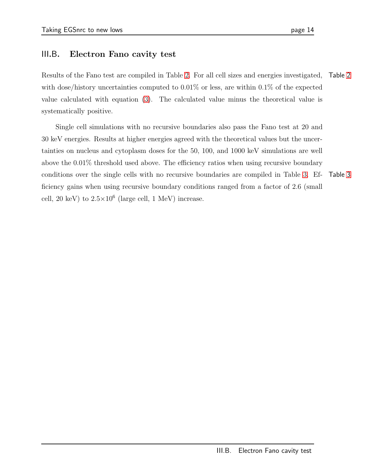### III.B. Electron Fano cavity test

Results of the Fano test are compiled in Table [2.](#page-14-0) For all cell sizes and energies investigated, Table [2](#page-14-0) with dose/history uncertainties computed to  $0.01\%$  or less, are within  $0.1\%$  of the expected value calculated with equation [\(3\)](#page-8-0). The calculated value minus the theoretical value is systematically positive.

Single cell simulations with no recursive boundaries also pass the Fano test at 20 and 30 keV energies. Results at higher energies agreed with the theoretical values but the uncertainties on nucleus and cytoplasm doses for the 50, 100, and 1000 keV simulations are well above the 0.01% threshold used above. The efficiency ratios when using recursive boundary conditions over the single cells with no recursive boundaries are compiled in Table [3.](#page-15-0) Ef- Table [3](#page-15-0) ficiency gains when using recursive boundary conditions ranged from a factor of 2.6 (small cell, 20 keV) to  $2.5 \times 10^6$  (large cell, 1 MeV) increase.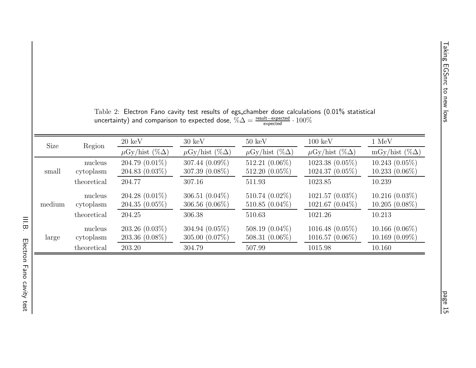<span id="page-14-0"></span>

| Size   | Region      | $20 \text{ keV}$            | $30 \text{ keV}$            | $50~\mathrm{keV}$           | $100~\mathrm{keV}$          | $1 \text{ MeV}$       |
|--------|-------------|-----------------------------|-----------------------------|-----------------------------|-----------------------------|-----------------------|
|        |             | $\mu$ Gy/hist (% $\Delta$ ) | $\mu$ Gy/hist (% $\Delta$ ) | $\mu$ Gy/hist (% $\Delta$ ) | $\mu$ Gy/hist (% $\Delta$ ) | mGy/hist $(\%\Delta)$ |
|        | nucleus     | 204.79 $(0.01\%)$           | $307.44~(0.09\%)$           | 512.21 (0.06%)              | $1023.38(0.05\%)$           | $10.243(0.05\%)$      |
| small  | cytoplasm   | $204.83(0.03\%)$            | $307.39(0.08\%)$            | $512.20(0.05\%)$            | $1024.37(0.05\%)$           | $10.233(0.06\%)$      |
|        | theoretical | 204.77                      | 307.16                      | 511.93                      | 1023.85                     | 10.239                |
|        | nucleus     | $204.28(0.01\%)$            | 306.51 $(0.04\%)$           | $510.74~(0.02\%)$           | $1021.57(0.03\%)$           | $10.216(0.03\%)$      |
| medium | cytoplasm   | $204.35(0.05\%)$            | 306.56 $(0.06\%)$           | 510.85 $(0.04\%)$           | $1021.67(0.04\%)$           | $10.205(0.08\%)$      |
|        | theoretical | 204.25                      | 306.38                      | 510.63                      | 1021.26                     | 10.213                |
|        | nucleus     | $203.26(0.03\%)$            | $304.94~(0.05\%)$           | 508.19 $(0.04\%)$           | $1016.48(0.05\%)$           | $10.166(0.06\%)$      |
| large  | cytoplasm   | $203.36(0.08\%)$            | 305.00 $(0.07\%)$           | 508.31 $(0.06\%)$           | $1016.57(0.06\%)$           | $10.169(0.09\%)$      |
|        | theoretical | 203.20                      | 304.79                      | 507.99                      | 1015.98                     | 10.160                |

| Table 2: Electron Fano cavity test results of egs_chamber dose calculations (0.01% statistical                                  |
|---------------------------------------------------------------------------------------------------------------------------------|
| uncertainty) and comparison to expected dose, $\% \Delta = \frac{\text{result} - \text{expected}}{\text{expected}} \cdot 100\%$ |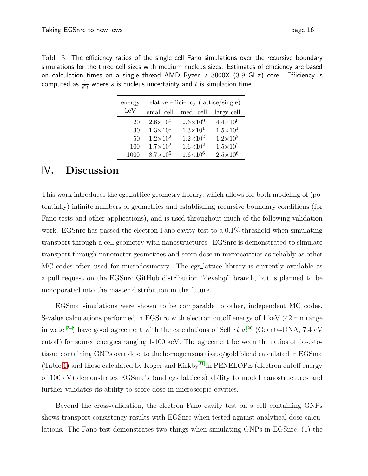<span id="page-15-0"></span>Table 3: The efficiency ratios of the single cell Fano simulations over the recursive boundary simulations for the three cell sizes with medium nucleus sizes. Estimates of efficiency are based on calculation times on a single thread AMD Ryzen 7 3800X (3.9 GHz) core. Efficiency is computed as  $\frac{1}{s^2t}$  where  $s$  is nucleus uncertainty and  $t$  is simulation time.

| energy | relative efficiency (lattice/single) |                     |                     |  |  |  |
|--------|--------------------------------------|---------------------|---------------------|--|--|--|
| keV    | small cell                           | med. cell           | large cell          |  |  |  |
| 20     | $2.6\times10^{0}$                    | $2.6\times10^{0}$   | $4.4 \times 10^{0}$ |  |  |  |
| 30     | $1.3\times10^{1}$                    | $1.3 \times 10^{1}$ | $1.5 \times 10^{1}$ |  |  |  |
| 50     | $1.2\times10^{2}$                    | $1.2\times10^{2}$   | $1.2 \times 10^{2}$ |  |  |  |
| 100    | $1.7\times10^{2}$                    | $1.6\times10^{2}$   | $1.5 \times 10^{2}$ |  |  |  |
| 1000   | $8.7\times10^5$                      | $1.6 \times 10^{6}$ | $2.5 \times 10^{6}$ |  |  |  |

# IV. Discussion

This work introduces the egs lattice geometry library, which allows for both modeling of (potentially) infinite numbers of geometries and establishing recursive boundary conditions (for Fano tests and other applications), and is used throughout much of the following validation work. EGSnrc has passed the electron Fano cavity test to a 0.1% threshold when simulating transport through a cell geometry with nanostructures. EGSnrc is demonstrated to simulate transport through nanometer geometries and score dose in microcavities as reliably as other MC codes often used for microdosimetry. The egs lattice library is currently available as a pull request on the EGSnrc GitHub distribution "develop" branch, but is planned to be incorporated into the master distribution in the future.

EGSnrc simulations were shown to be comparable to other, independent MC codes. S-value calculations performed in EGSnrc with electron cutoff energy of 1 keV (42 nm range in water<sup>[34](#page-20-8)</sup>) have good agreement with the calculations of Sefl et  $al^{20}$  $al^{20}$  $al^{20}$  (Geant4-DNA, 7.4 eV cutoff) for source energies ranging 1-100 keV. The agreement between the ratios of dose-totissue containing GNPs over dose to the homogeneous tissue/gold blend calculated in EGSnrc (Table [1\)](#page-12-0) and those calculated by Koger and Kirkby<sup>[21](#page-19-5)</sup> in PENELOPE (electron cutoff energy of 100 eV) demonstrates EGSnrc's (and egs lattice's) ability to model nanostructures and further validates its ability to score dose in microscopic cavities.

Beyond the cross-validation, the electron Fano cavity test on a cell containing GNPs shows transport consistency results with EGSnrc when tested against analytical dose calculations. The Fano test demonstrates two things when simulating GNPs in EGSnrc, (1) the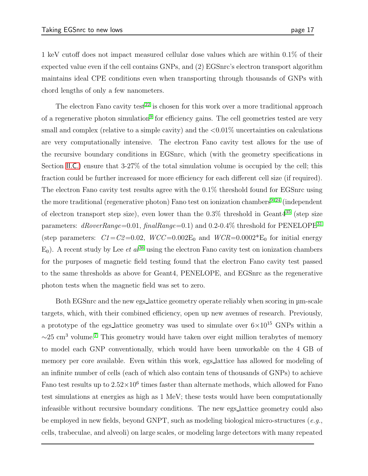1 keV cutoff does not impact measured cellular dose values which are within 0.1% of their expected value even if the cell contains GNPs, and (2) EGSnrc's electron transport algorithm maintains ideal CPE conditions even when transporting through thousands of GNPs with chord lengths of only a few nanometers.

The electron Fano cavity test<sup>[22](#page-19-6)</sup> is chosen for this work over a more traditional approach of a regenerative photon simulation<sup>[9](#page-18-4)</sup> for efficiency gains. The cell geometries tested are very small and complex (relative to a simple cavity) and the  $\langle 0.01\%$  uncertainties on calculations are very computationally intensive. The electron Fano cavity test allows for the use of the recursive boundary conditions in EGSnrc, which (with the geometry specifications in Section II.[C](#page-8-1).) ensure that 3-27% of the total simulation volume is occupied by the cell; this fraction could be further increased for more efficiency for each different cell size (if required). The electron Fano cavity test results agree with the 0.1% threshold found for EGSnrc using the more traditional (regenerative photon) Fano test on ionization chambers<sup>[9,](#page-18-4)24</sup> (independent of electron transport step size), even lower than the  $0.3\%$  threshold in Geant $4^{35}$  $4^{35}$  $4^{35}$  (step size parameters:  $dRoverRange=0.01$ ,  $finalRange=0.1$ ) and 0.2-0.4% threshold for PENELOPE<sup>[31](#page-20-5)</sup> (step parameters:  $C1 = C2 = 0.02$ ,  $WCC = 0.002E_0$  and  $WCR = 0.0002E_0$  for initial energy  $E_0$ ). A recent study by Lee *et al*<sup>[36](#page-20-10)</sup> using the electron Fano cavity test on ionization chambers for the purposes of magnetic field testing found that the electron Fano cavity test passed to the same thresholds as above for Geant4, PENELOPE, and EGSnrc as the regenerative photon tests when the magnetic field was set to zero.

Both EGSnrc and the new egs lattice geometry operate reliably when scoring in µm-scale targets, which, with their combined efficiency, open up new avenues of research. Previously, a prototype of the egs\_lattice geometry was used to simulate over  $6\times10^{15}$  GNPs within a  $\sim$ 25 cm<sup>3</sup> volume.<sup>[7](#page-18-2)</sup> This geometry would have taken over eight million terabytes of memory to model each GNP conventionally, which would have been unworkable on the 4 GB of memory per core available. Even within this work, egs lattice has allowed for modeling of an infinite number of cells (each of which also contain tens of thousands of GNPs) to achieve Fano test results up to  $2.52 \times 10^6$  times faster than alternate methods, which allowed for Fano test simulations at energies as high as 1 MeV; these tests would have been computationally infeasible without recursive boundary conditions. The new egs lattice geometry could also be employed in new fields, beyond GNPT, such as modeling biological micro-structures  $(e.g.,)$ cells, trabeculae, and alveoli) on large scales, or modeling large detectors with many repeated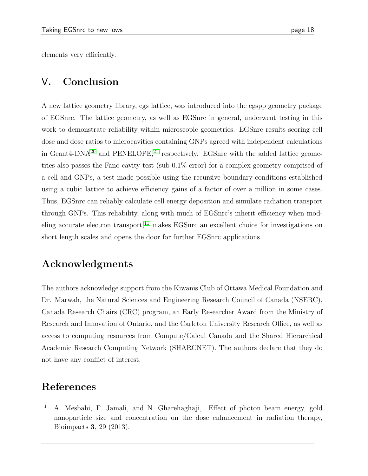elements very efficiently.

# V. Conclusion

A new lattice geometry library, egs lattice, was introduced into the egspp geometry package of EGSnrc. The lattice geometry, as well as EGSnrc in general, underwent testing in this work to demonstrate reliability within microscopic geometries. EGSnrc results scoring cell dose and dose ratios to microcavities containing GNPs agreed with independent calculations in Geant4-DNA<sup>[20](#page-19-4)</sup> and PENELOPE,<sup>[21](#page-19-5)</sup> respectively. EGSnrc with the added lattice geometries also passes the Fano cavity test (sub-0.1% error) for a complex geometry comprised of a cell and GNPs, a test made possible using the recursive boundary conditions established using a cubic lattice to achieve efficiency gains of a factor of over a million in some cases. Thus, EGSnrc can reliably calculate cell energy deposition and simulate radiation transport through GNPs. This reliability, along with much of EGSnrc's inherit efficiency when mod-eling accurate electron transport,<sup>[11](#page-18-7)</sup> makes EGSnrc an excellent choice for investigations on short length scales and opens the door for further EGSnrc applications.

# Acknowledgments

The authors acknowledge support from the Kiwanis Club of Ottawa Medical Foundation and Dr. Marwah, the Natural Sciences and Engineering Research Council of Canada (NSERC), Canada Research Chairs (CRC) program, an Early Researcher Award from the Ministry of Research and Innovation of Ontario, and the Carleton University Research Office, as well as access to computing resources from Compute/Calcul Canada and the Shared Hierarchical Academic Research Computing Network (SHARCNET). The authors declare that they do not have any conflict of interest.

# <span id="page-17-0"></span>References

<sup>1</sup> A. Mesbahi, F. Jamali, and N. Gharehaghaji, Effect of photon beam energy, gold nanoparticle size and concentration on the dose enhancement in radiation therapy, Bioimpacts 3, 29 (2013).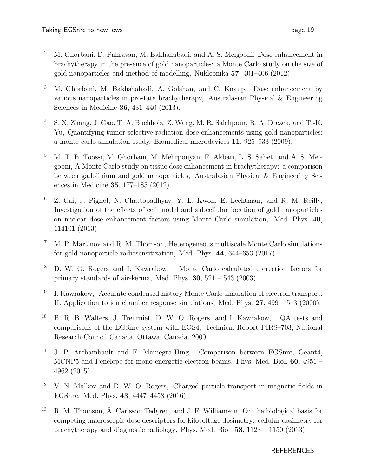- <sup>2</sup> M. Ghorbani, D. Pakravan, M. Bakhshabadi, and A. S. Meigooni, Dose enhancement in brachytherapy in the presence of gold nanoparticles: a Monte Carlo study on the size of gold nanoparticles and method of modelling, Nukleonika 57, 401–406 (2012).
- <sup>3</sup> M. Ghorbani, M. Bakhshabadi, A. Golshan, and C. Knaup, Dose enhancement by various nanoparticles in prostate brachytherapy, Australasian Physical & Engineering Sciences in Medicine 36, 431–440 (2013).
- <sup>4</sup> S. X. Zhang, J. Gao, T. A. Buchholz, Z. Wang, M. R. Salehpour, R. A. Drezek, and T.-K. Yu, Quantifying tumor-selective radiation dose enhancements using gold nanoparticles: a monte carlo simulation study, Biomedical microdevices 11, 925–933 (2009).
- <span id="page-18-0"></span><sup>5</sup> M. T. B. Toossi, M. Ghorbani, M. Mehrpouyan, F. Akbari, L. S. Sabet, and A. S. Meigooni, A Monte Carlo study on tissue dose enhancement in brachytherapy: a comparison between gadolinium and gold nanoparticles, Australasian Physical & Engineering Sciences in Medicine 35, 177–185 (2012).
- <span id="page-18-1"></span><sup>6</sup> Z. Cai, J. Pignol, N. Chattopadhyay, Y. L. Kwon, E. Lechtman, and R. M. Reilly, Investigation of the effects of cell model and subcellular location of gold nanoparticles on nuclear dose enhancement factors using Monte Carlo simulation, Med. Phys. 40, 114101 (2013).
- <span id="page-18-2"></span> $\frac{7}{1}$  M. P. Martinov and R. M. Thomson, Heterogeneous multiscale Monte Carlo simulations for gold nanoparticle radiosensitization, Med. Phys. 44, 644–653 (2017).
- <span id="page-18-3"></span><sup>8</sup> D. W. O. Rogers and I. Kawrakow, Monte Carlo calculated correction factors for primary standards of air-kerma, Med. Phys.  $30, 521 - 543$  (2003).
- <span id="page-18-4"></span>9 I. Kawrakow, Accurate condensed history Monte Carlo simulation of electron transport. II. Application to ion chamber response simulations, Med. Phys. 27, 499 – 513 (2000).
- <sup>10</sup> B. R. B. Walters, J. Treurniet, D. W. O. Rogers, and I. Kawrakow, QA tests and comparisons of the EGSnrc system with EGS4, Technical Report PIRS–703, National Research Council Canada, Ottawa, Canada, 2000.
- <span id="page-18-7"></span><sup>11</sup> J. P. Archambault and E. Mainegra-Hing, Comparison between EGSnrc, Geant4, MCNP5 and Penelope for mono-energetic electron beams, Phys. Med. Biol. 60, 4951 – 4962 (2015).
- <span id="page-18-5"></span><sup>12</sup> V. N. Malkov and D. W. O. Rogers, Charged particle transport in magnetic fields in EGSnrc, Med. Phys. 43, 4447–4458 (2016).
- <span id="page-18-6"></span> $13$  R. M. Thomson, Å. Carlsson Tedgren, and J. F. Williamson, On the biological basis for competing macroscopic dose descriptors for kilovoltage dosimetry: cellular dosimetry for brachytherapy and diagnostic radiology, Phys. Med. Biol. 58, 1123 – 1150 (2013).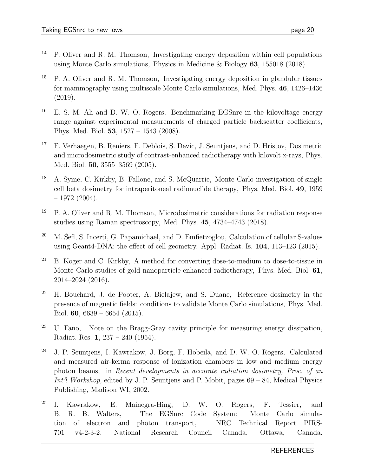- <sup>14</sup> P. Oliver and R. M. Thomson, Investigating energy deposition within cell populations using Monte Carlo simulations, Physics in Medicine & Biology  $63$ , 155018 (2018).
- <span id="page-19-0"></span><sup>15</sup> P. A. Oliver and R. M. Thomson, Investigating energy deposition in glandular tissues for mammography using multiscale Monte Carlo simulations, Med. Phys. 46, 1426–1436 (2019).
- <span id="page-19-1"></span> $16$  E. S. M. Ali and D. W. O. Rogers, Benchmarking EGSnrc in the kilovoltage energy range against experimental measurements of charged particle backscatter coefficients, Phys. Med. Biol. 53, 1527 – 1543 (2008).
- <span id="page-19-2"></span><sup>17</sup> F. Verhaegen, B. Reniers, F. Deblois, S. Devic, J. Seuntjens, and D. Hristov, Dosimetric and microdosimetric study of contrast-enhanced radiotherapy with kilovolt x-rays, Phys. Med. Biol. 50, 3555–3569 (2005).
- <sup>18</sup> A. Syme, C. Kirkby, B. Fallone, and S. McQuarrie, Monte Carlo investigation of single cell beta dosimetry for intraperitoneal radionuclide therapy, Phys. Med. Biol. 49, 1959  $-1972(2004).$
- <span id="page-19-3"></span><sup>19</sup> P. A. Oliver and R. M. Thomson, Microdosimetric considerations for radiation response studies using Raman spectroscopy, Med. Phys. 45, 4734–4743 (2018).
- <span id="page-19-4"></span><sup>20</sup> M. Šefl, S. Incerti, G. Papamichael, and D. Emfietzoglou, Calculation of cellular S-values using Geant4-DNA: the effect of cell geometry, Appl. Radiat. Is. 104, 113–123 (2015).
- <span id="page-19-5"></span><sup>21</sup> B. Koger and C. Kirkby, A method for converting dose-to-medium to dose-to-tissue in Monte Carlo studies of gold nanoparticle-enhanced radiotherapy, Phys. Med. Biol. 61, 2014–2024 (2016).
- <span id="page-19-6"></span><sup>22</sup> H. Bouchard, J. de Pooter, A. Bielajew, and S. Duane, Reference dosimetry in the presence of magnetic fields: conditions to validate Monte Carlo simulations, Phys. Med. Biol. 60, 6639 – 6654 (2015).
- <span id="page-19-7"></span><sup>23</sup> U. Fano, Note on the Bragg-Gray cavity principle for measuring energy dissipation, Radiat. Res. 1, 237 – 240 (1954).
- <span id="page-19-8"></span><sup>24</sup> J. P. Seuntjens, I. Kawrakow, J. Borg, F. Hobeila, and D. W. O. Rogers, Calculated and measured air-kerma response of ionization chambers in low and medium energy photon beams, in Recent developments in accurate radiation dosimetry, Proc. of an Int'l Workshop, edited by J. P. Seuntjens and P. Mobit, pages  $69 - 84$ , Medical Physics Publishing, Madison WI, 2002.
- <span id="page-19-9"></span><sup>25</sup> I. Kawrakow, E. Mainegra-Hing, D. W. O. Rogers, F. Tessier, and B. R. B. Walters, The EGSnrc Code System: Monte Carlo simulation of electron and photon transport, NRC Technical Report PIRS-701 v4-2-3-2, National Research Council Canada, Ottawa, Canada.